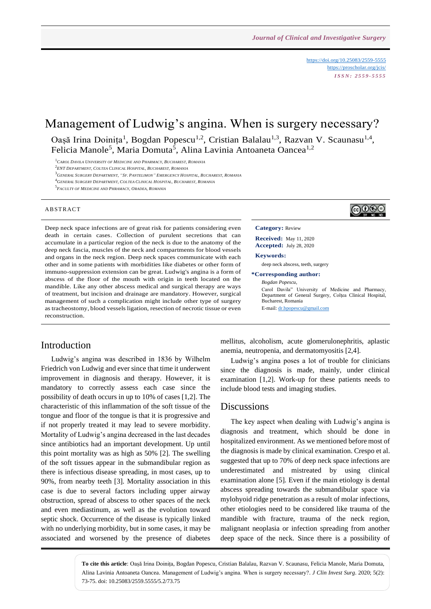<https://doi.org/10.25083/2559-5555> <https://proscholar.org/jcis/> *I S S N : 2 5 5 9 - 5 5 5 5*

# Management of Ludwig's angina. When is surgery necessary?

Oașă Irina Doinița<sup>1</sup>, Bogdan Popescu<sup>1,2</sup>, Cristian Balalau<sup>1,3</sup>, Razvan V. Scaunasu<sup>1,4</sup>, Felicia Manole<sup>5</sup>, Maria Domuta<sup>5</sup>, Alina Lavinia Antoaneta Oancea<sup>1,2</sup>

<sup>1</sup>*CAROL DAVILA UNIVERSITY OF MEDICINE AND PHARMACY, BUCHAREST, ROMANIA*

2 *ENT DEPARTMENT, COLTEA CLINICAL HOSPITAL, BUCHAREST, ROMANIA*

<sup>3</sup>GENERAL SURGERY DEPARTMENT, "SF. PANTELIMON" EMERGENCY HOSPITAL, BUCHAREST, ROMANIA

<sup>4</sup>*GENERAL SURGERY DEPARTMENT, COLTEA CLINICAL HOSPITAL, BUCHAREST, ROMANIA*

5 *FACULTY OF MEDICINE AND PHRAMACY, ORADEA, ROMANIA*

#### **ABSTRACT**

Deep neck space infections are of great risk for patients considering even death in certain cases. Collection of purulent secretions that can accumulate in a particular region of the neck is due to the anatomy of the deep neck fascia, muscles of the neck and compartments for blood vessels and organs in the neck region. Deep neck spaces communicate with each other and in some patients with morbidities like diabetes or other form of immuno-suppression extension can be great. Ludwig's angina is a form of abscess of the floor of the mouth with origin in teeth located on the mandible. Like any other abscess medical and surgical therapy are ways of treatment, but incision and drainage are mandatory. However, surgical management of such a complication might include other type of surgery as tracheostomy, blood vessels ligation, resection of necrotic tissue or even reconstruction.

### Introduction

Ludwig's angina was described in 1836 by Wilhelm Friedrich von Ludwig and ever since that time it underwent improvement in diagnosis and therapy. However, it is mandatory to correctly assess each case since the possibility of death occurs in up to 10% of cases [1,2]. The characteristic of this inflammation of the soft tissue of the tongue and floor of the tongue is that it is progressive and if not properly treated it may lead to severe morbidity. Mortality of Ludwig's angina decreased in the last decades since antibiotics had an important development. Up until this point mortality was as high as 50% [2]. The swelling of the soft tissues appear in the submandibular region as there is infectious disease spreading, in most cases, up to 90%, from nearby teeth [3]. Mortality association in this case is due to several factors including upper airway obstruction, spread of abscess to other spaces of the neck and even mediastinum, as well as the evolution toward septic shock. Occurrence of the disease is typically linked with no underlying morbidity, but in some cases, it may be associated and worsened by the presence of diabetes



#### **Category:** Review

**Received:** May 11, 2020 **Accepted:** July 28, 2020

**Keywords:** 

deep neck abscess, teeth, surgery

**\*Corresponding author:**

*Bogdan Popescu*,

Carol Davila" University of Medicine and Pharmacy, Department of General Surgery, Colțea Clinical Hospital, Bucharest, Romania E-mail[: dr.bpopescu@gmail.com](mailto:dr.bpopescu@gmail.com)

mellitus, alcoholism, acute glomerulonephritis, aplastic anemia, neutropenia, and dermatomyositis [2,4].

Ludwig's angina poses a lot of trouble for clinicians since the diagnosis is made, mainly, under clinical examination [1,2]. Work-up for these patients needs to include blood tests and imaging studies.

### **Discussions**

The key aspect when dealing with Ludwig's angina is diagnosis and treatment, which should be done in hospitalized environment. As we mentioned before most of the diagnosis is made by clinical examination. Crespo et al. suggested that up to 70% of deep neck space infections are underestimated and mistreated by using clinical examination alone [5]. Even if the main etiology is dental abscess spreading towards the submandibular space via mylohyoid ridge penetration as a result of molar infections, other etiologies need to be considered like trauma of the mandible with fracture, trauma of the neck region, malignant neoplasia or infection spreading from another deep space of the neck. Since there is a possibility of

**To cite this article**: Oașă Irina Doinița, Bogdan Popescu, Cristian Balalau, Razvan V. Scaunasu, Felicia Manole, Maria Domuta, Alina Lavinia Antoaneta Oancea. Management of Ludwig's angina. When is surgery necessary?. *J Clin Invest Surg*. 2020; 5(2): 73-75. doi: 10.25083/2559.5555/5.2/73.75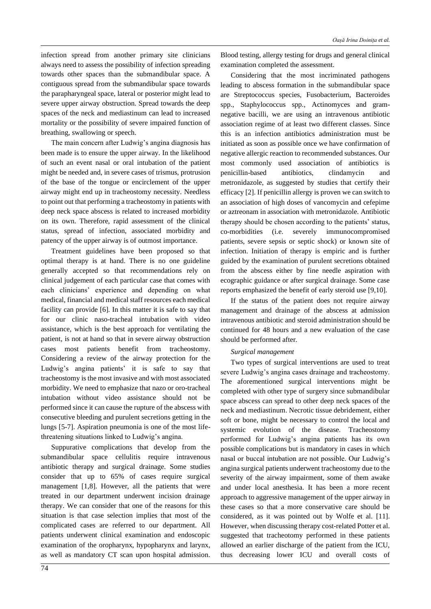infection spread from another primary site clinicians always need to assess the possibility of infection spreading towards other spaces than the submandibular space. A contiguous spread from the submandibular space towards the parapharyngeal space, lateral or posterior might lead to severe upper airway obstruction. Spread towards the deep spaces of the neck and mediastinum can lead to increased mortality or the possibility of severe impaired function of breathing, swallowing or speech.

The main concern after Ludwig's angina diagnosis has been made is to ensure the upper airway. In the likelihood of such an event nasal or oral intubation of the patient might be needed and, in severe cases of trismus, protrusion of the base of the tongue or encirclement of the upper airway might end up in tracheostomy necessity. Needless to point out that performing a tracheostomy in patients with deep neck space abscess is related to increased morbidity on its own. Therefore, rapid assessment of the clinical status, spread of infection, associated morbidity and patency of the upper airway is of outmost importance.

Treatment guidelines have been proposed so that optimal therapy is at hand. There is no one guideline generally accepted so that recommendations rely on clinical judgement of each particular case that comes with each clinicians' experience and depending on what medical, financial and medical staff resources each medical facility can provide [6]. In this matter it is safe to say that for our clinic naso-tracheal intubation with video assistance, which is the best approach for ventilating the patient, is not at hand so that in severe airway obstruction cases most patients benefit from tracheostomy. Considering a review of the airway protection for the Ludwig's angina patients' it is safe to say that tracheostomy is the most invasive and with most associated morbidity. We need to emphasize that nazo or oro-tracheal intubation without video assistance should not be performed since it can cause the rupture of the abscess with consecutive bleeding and purulent secretions getting in the lungs [5-7]. Aspiration pneumonia is one of the most lifethreatening situations linked to Ludwig's angina.

Suppurative complications that develop from the submandibular space cellulitis require intravenous antibiotic therapy and surgical drainage. Some studies consider that up to 65% of cases require surgical management [1,8]. However, all the patients that were treated in our department underwent incision drainage therapy. We can consider that one of the reasons for this situation is that case selection implies that most of the complicated cases are referred to our department. All patients underwent clinical examination and endoscopic examination of the oropharynx, hypopharynx and larynx, as well as mandatory CT scan upon hospital admission.

Blood testing, allergy testing for drugs and general clinical examination completed the assessment.

Considering that the most incriminated pathogens leading to abscess formation in the submandibular space are Streptococcus species, Fusobacterium, Bacteroides spp., Staphylococcus spp., Actinomyces and gramnegative bacilli, we are using an intravenous antibiotic association regime of at least two different classes. Since this is an infection antibiotics administration must be initiated as soon as possible once we have confirmation of negative allergic reaction to recommended substances. Our most commonly used association of antibiotics is penicillin-based antibiotics, clindamycin and metronidazole, as suggested by studies that certify their efficacy [2]. If penicillin allergy is proven we can switch to an association of high doses of vancomycin and cefepime or aztreonam in association with metronidazole. Antibiotic therapy should be chosen according to the patients' status, co-morbidities (i.e. severely immunocompromised patients, severe sepsis or septic shock) or known site of infection. Initiation of therapy is empiric and is further guided by the examination of purulent secretions obtained from the abscess either by fine needle aspiration with ecographic guidance or after surgical drainage. Some case reports emphasized the benefit of early steroid use [9,10].

If the status of the patient does not require airway management and drainage of the abscess at admission intravenous antibiotic and steroid administration should be continued for 48 hours and a new evaluation of the case should be performed after.

#### *Surgical management*

Two types of surgical interventions are used to treat severe Ludwig's angina cases drainage and tracheostomy. The aforementioned surgical interventions might be completed with other type of surgery since submandibular space abscess can spread to other deep neck spaces of the neck and mediastinum. Necrotic tissue debridement, either soft or bone, might be necessary to control the local and systemic evolution of the disease. Tracheostomy performed for Ludwig's angina patients has its own possible complications but is mandatory in cases in which nasal or buccal intubation are not possible. Our Ludwig's angina surgical patients underwent tracheostomy due to the severity of the airway impairment, some of them awake and under local anesthesia. It has been a more recent approach to aggressive management of the upper airway in these cases so that a more conservative care should be considered, as it was pointed out by Wolfe et al. [11]. However, when discussing therapy cost-related Potter et al. suggested that tracheotomy performed in these patients allowed an earlier discharge of the patient from the ICU, thus decreasing lower ICU and overall costs of